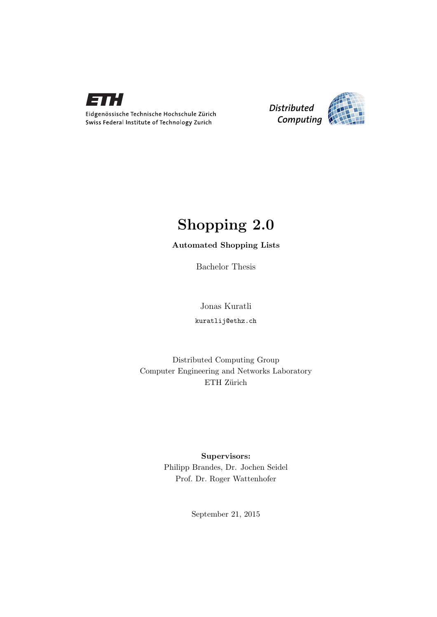

*Distributed Computing* 

# Shopping 2.0

## Automated Shopping Lists

Bachelor Thesis

Jonas Kuratli kuratlij@ethz.ch

Distributed Computing Group Computer Engineering and Networks Laboratory ETH Zürich

> Supervisors: Philipp Brandes, Dr. Jochen Seidel Prof. Dr. Roger Wattenhofer

> > September 21, 2015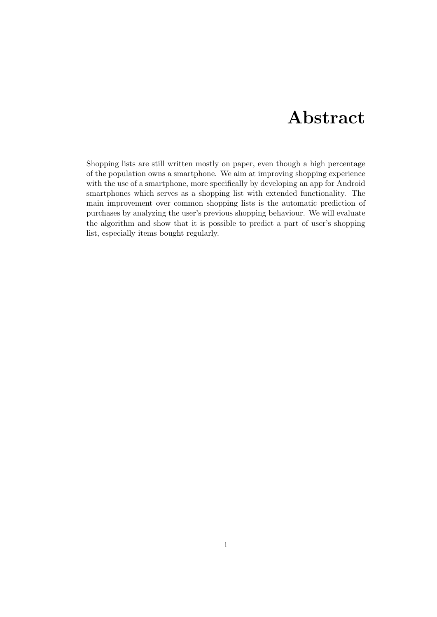# Abstract

<span id="page-1-0"></span>Shopping lists are still written mostly on paper, even though a high percentage of the population owns a smartphone. We aim at improving shopping experience with the use of a smartphone, more specifically by developing an app for Android smartphones which serves as a shopping list with extended functionality. The main improvement over common shopping lists is the automatic prediction of purchases by analyzing the user's previous shopping behaviour. We will evaluate the algorithm and show that it is possible to predict a part of user's shopping list, especially items bought regularly.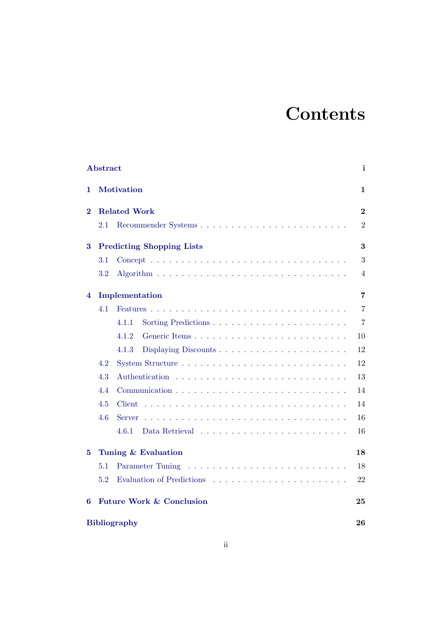# **Contents**

|                | <b>Abstract</b>     |                                     | i              |  |  |  |  |
|----------------|---------------------|-------------------------------------|----------------|--|--|--|--|
| 1              |                     | <b>Motivation</b>                   | 1              |  |  |  |  |
| $\overline{2}$ | <b>Related Work</b> |                                     |                |  |  |  |  |
|                | 2.1                 |                                     | $\overline{2}$ |  |  |  |  |
| 3              |                     | <b>Predicting Shopping Lists</b>    | 3              |  |  |  |  |
|                | 3.1                 |                                     | 3              |  |  |  |  |
|                | $3.2\,$             |                                     | 4              |  |  |  |  |
| 4              |                     | Implementation                      | 7              |  |  |  |  |
|                | 4.1                 |                                     | $\overline{7}$ |  |  |  |  |
|                |                     | 4.1.1                               | $\overline{7}$ |  |  |  |  |
|                |                     | 4.1.2<br>Generic Items              | 10             |  |  |  |  |
|                |                     | 4.1.3                               | 12             |  |  |  |  |
|                | 4.2                 |                                     | 12             |  |  |  |  |
|                | 4.3                 |                                     | 13             |  |  |  |  |
|                | 4.4                 |                                     | 14             |  |  |  |  |
|                | 4.5                 | Client                              | 14             |  |  |  |  |
|                | 4.6                 | <b>Server</b>                       | 16             |  |  |  |  |
|                |                     | 4.6.1                               | 16             |  |  |  |  |
| $\bf{5}$       |                     | Tuning & Evaluation                 | 18             |  |  |  |  |
|                | 5.1                 |                                     | 18             |  |  |  |  |
|                | 5.2                 |                                     | 22             |  |  |  |  |
| 6              |                     | <b>Future Work &amp; Conclusion</b> | 25             |  |  |  |  |
|                |                     | <b>Bibliography</b>                 | 26             |  |  |  |  |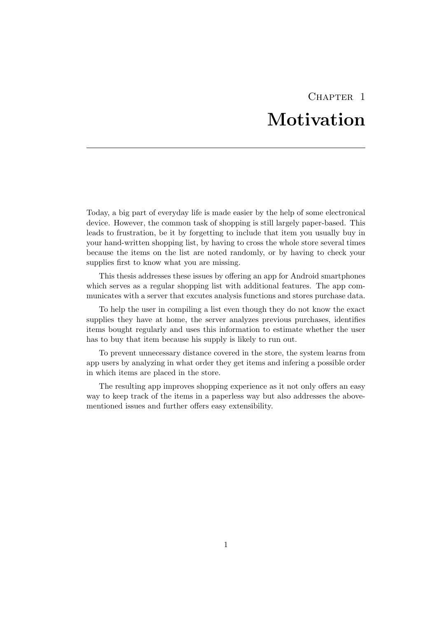# CHAPTER<sub>1</sub> Motivation

<span id="page-3-0"></span>Today, a big part of everyday life is made easier by the help of some electronical device. However, the common task of shopping is still largely paper-based. This leads to frustration, be it by forgetting to include that item you usually buy in your hand-written shopping list, by having to cross the whole store several times because the items on the list are noted randomly, or by having to check your supplies first to know what you are missing.

This thesis addresses these issues by offering an app for Android smartphones which serves as a regular shopping list with additional features. The app communicates with a server that excutes analysis functions and stores purchase data.

To help the user in compiling a list even though they do not know the exact supplies they have at home, the server analyzes previous purchases, identifies items bought regularly and uses this information to estimate whether the user has to buy that item because his supply is likely to run out.

To prevent unnecessary distance covered in the store, the system learns from app users by analyzing in what order they get items and infering a possible order in which items are placed in the store.

The resulting app improves shopping experience as it not only offers an easy way to keep track of the items in a paperless way but also addresses the abovementioned issues and further offers easy extensibility.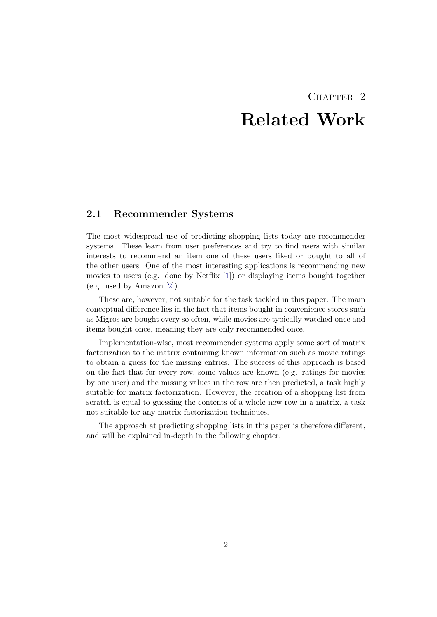# CHAPTER<sub>2</sub> Related Work

## <span id="page-4-1"></span><span id="page-4-0"></span>2.1 Recommender Systems

The most widespread use of predicting shopping lists today are recommender systems. These learn from user preferences and try to find users with similar interests to recommend an item one of these users liked or bought to all of the other users. One of the most interesting applications is recommending new movies to users (e.g. done by Netflix [\[1\]](#page-28-1)) or displaying items bought together (e.g. used by Amazon [\[2\]](#page-28-2)).

These are, however, not suitable for the task tackled in this paper. The main conceptual difference lies in the fact that items bought in convenience stores such as Migros are bought every so often, while movies are typically watched once and items bought once, meaning they are only recommended once.

Implementation-wise, most recommender systems apply some sort of matrix factorization to the matrix containing known information such as movie ratings to obtain a guess for the missing entries. The success of this approach is based on the fact that for every row, some values are known (e.g. ratings for movies by one user) and the missing values in the row are then predicted, a task highly suitable for matrix factorization. However, the creation of a shopping list from scratch is equal to guessing the contents of a whole new row in a matrix, a task not suitable for any matrix factorization techniques.

The approach at predicting shopping lists in this paper is therefore different, and will be explained in-depth in the following chapter.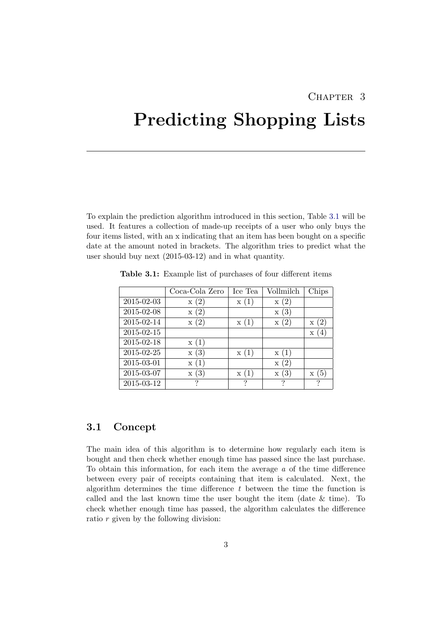## CHAPTER<sub>3</sub>

# <span id="page-5-0"></span>Predicting Shopping Lists

To explain the prediction algorithm introduced in this section, Table [3.1](#page-5-2) will be used. It features a collection of made-up receipts of a user who only buys the four items listed, with an x indicating that an item has been bought on a specific date at the amount noted in brackets. The algorithm tries to predict what the user should buy next (2015-03-12) and in what quantity.

|                  | Coca-Cola Zero  | Ice Tea | Vollmilch        | Chips       |
|------------------|-----------------|---------|------------------|-------------|
| 2015-02-03       | x(2)            | x(1)    | x(2)             |             |
| 2015-02-08       | $\mathbf{x}(2)$ |         | $\mathbf{x}$ (3) |             |
| 2015-02-14       | $\mathbf{x}(2)$ | x(1)    | x(2)             | $\rm x~(2)$ |
| 2015-02-15       |                 |         |                  | X           |
| 2015-02-18       | x(1)            |         |                  |             |
| $2015 - 02 - 25$ | x(3)            | x(1)    | $\mathbf{x}(1)$  |             |
| 2015-03-01       | $\mathbf{x}(1)$ |         | x(2)             |             |
| 2015-03-07       | x(3)            | x(1)    | x(3)             | $\rm x$ (5) |
| 2015-03-12       | ?               |         | ?                | ?           |

<span id="page-5-2"></span>Table 3.1: Example list of purchases of four different items

## <span id="page-5-1"></span>3.1 Concept

The main idea of this algorithm is to determine how regularly each item is bought and then check whether enough time has passed since the last purchase. To obtain this information, for each item the average  $a$  of the time difference between every pair of receipts containing that item is calculated. Next, the algorithm determines the time difference  $t$  between the time the function is called and the last known time the user bought the item (date & time). To check whether enough time has passed, the algorithm calculates the difference ratio r given by the following division: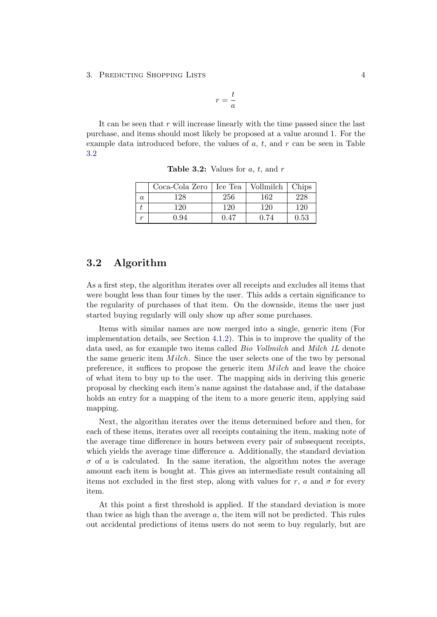3. PREDICTING SHOPPING LISTS 4

$$
r=\frac{t}{a}
$$

<span id="page-6-1"></span>It can be seen that  $r$  will increase linearly with the time passed since the last purchase, and items should most likely be proposed at a value around 1. For the example data introduced before, the values of  $a, t$ , and  $r$  can be seen in Table [3.2](#page-6-1)

|   | $Coca-Cola Zero$ | Ice Tea | Vollmilch | Chips |
|---|------------------|---------|-----------|-------|
| a | 128              | 256     | 162       | 228   |
|   | 120              | 120     | 120       | 120   |
|   | J.94             | 0.47    | 0.74      | 0.53  |

**Table 3.2:** Values for  $a, t$ , and  $r$ 

## <span id="page-6-0"></span>3.2 Algorithm

As a first step, the algorithm iterates over all receipts and excludes all items that were bought less than four times by the user. This adds a certain significance to the regularity of purchases of that item. On the downside, items the user just started buying regularly will only show up after some purchases.

Items with similar names are now merged into a single, generic item (For implementation details, see Section [4.1.2\)](#page-12-0). This is to improve the quality of the data used, as for example two items called *Bio Vollmilch* and *Milch 1L* denote the same generic item  $Milch$ . Since the user selects one of the two by personal preference, it suffices to propose the generic item  $Milch$  and leave the choice of what item to buy up to the user. The mapping aids in deriving this generic proposal by checking each item's name against the database and, if the database holds an entry for a mapping of the item to a more generic item, applying said mapping.

Next, the algorithm iterates over the items determined before and then, for each of these items, iterates over all receipts containing the item, making note of the average time difference in hours between every pair of subsequent receipts, which yields the average time difference a. Additionally, the standard deviation  $\sigma$  of a is calculated. In the same iteration, the algorithm notes the average amount each item is bought at. This gives an intermediate result containing all items not excluded in the first step, along with values for r, a and  $\sigma$  for every item.

At this point a first threshold is applied. If the standard deviation is more than twice as high than the average  $a$ , the item will not be predicted. This rules out accidental predictions of items users do not seem to buy regularly, but are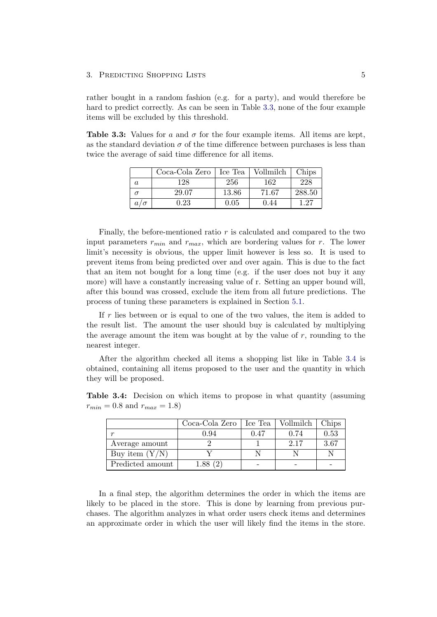#### 3. PREDICTING SHOPPING LISTS 5

rather bought in a random fashion (e.g. for a party), and would therefore be hard to predict correctly. As can be seen in Table [3.3,](#page-7-0) none of the four example items will be excluded by this threshold.

<span id="page-7-0"></span>**Table 3.3:** Values for a and  $\sigma$  for the four example items. All items are kept, as the standard deviation  $\sigma$  of the time difference between purchases is less than twice the average of said time difference for all items.

|            | Coca-Cola Zero | Ice Tea | Vollmilch | Chips  |
|------------|----------------|---------|-----------|--------|
| $\it a$    | 128            | 256     | 162       | 228    |
|            | 29.07          | 13.86   | 71.67     | 288.50 |
| $a/\sigma$ | $\rm 0.23$     | 0.05    | 0.44      | 27     |

Finally, the before-mentioned ratio  $r$  is calculated and compared to the two input parameters  $r_{min}$  and  $r_{max}$ , which are bordering values for r. The lower limit's necessity is obvious, the upper limit however is less so. It is used to prevent items from being predicted over and over again. This is due to the fact that an item not bought for a long time (e.g. if the user does not buy it any more) will have a constantly increasing value of r. Setting an upper bound will, after this bound was crossed, exclude the item from all future predictions. The process of tuning these parameters is explained in Section [5.1.](#page-20-1)

If  $r$  lies between or is equal to one of the two values, the item is added to the result list. The amount the user should buy is calculated by multiplying the average amount the item was bought at by the value of r, rounding to the nearest integer.

After the algorithm checked all items a shopping list like in Table [3.4](#page-7-1) is obtained, containing all items proposed to the user and the quantity in which they will be proposed.

<span id="page-7-1"></span>Table 3.4: Decision on which items to propose in what quantity (assuming  $r_{min} = 0.8$  and  $r_{max} = 1.8$ )

|                  | Coca-Cola Zero | Ice Tea | Vollmilch | Chips |
|------------------|----------------|---------|-----------|-------|
| $\sim$           | 0.94           | 0.47    | 0.74      | 0.53  |
| Average amount   |                |         | 2.17      | 3.67  |
| Buy item $(Y/N)$ |                |         |           |       |
| Predicted amount |                |         |           |       |

In a final step, the algorithm determines the order in which the items are likely to be placed in the store. This is done by learning from previous purchases. The algorithm analyzes in what order users check items and determines an approximate order in which the user will likely find the items in the store.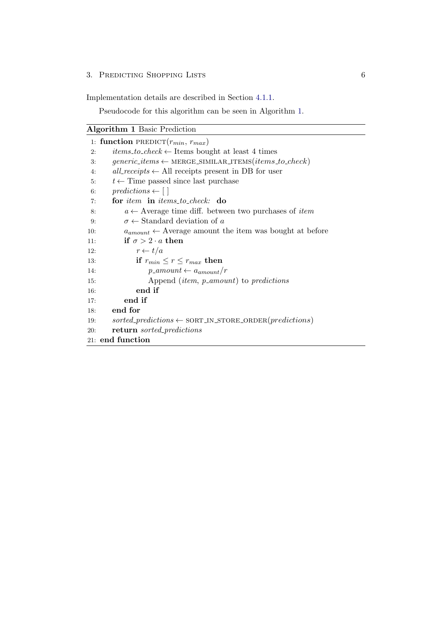### 3. PREDICTING SHOPPING LISTS 6

Implementation details are described in Section [4.1.1.](#page-9-2)

Pseudocode for this algorithm can be seen in Algorithm [1.](#page-8-0)

<span id="page-8-0"></span>

|     | 1: function PREDICT $(r_{min}, r_{max})$                                   |
|-----|----------------------------------------------------------------------------|
| 2:  | <i>items_to_check</i> $\leftarrow$ Items bought at least 4 times           |
| 3:  | $generic\_items \leftarrow \text{MERGE\_SIMILAR\_ITEMS}(items\_to\_check)$ |
| 4:  | all_receipts $\leftarrow$ All receipts present in DB for user              |
| 5:  | $t \leftarrow$ Time passed since last purchase                             |
| 6:  | $predictions \leftarrow \lceil \rceil$                                     |
| 7:  | for item in items_to_check: do                                             |
| 8:  | $a \leftarrow$ Average time diff. between two purchases of <i>item</i>     |
| 9:  | $\sigma \leftarrow$ Standard deviation of a                                |
| 10: | $a_{amount} \leftarrow$ Average amount the item was bought at before       |
| 11: | if $\sigma > 2 \cdot a$ then                                               |
| 12: | $r \leftarrow t/a$                                                         |
| 13: | if $r_{min} \leq r \leq r_{max}$ then                                      |
| 14: | $p_{\text{-}}amount \leftarrow a_{amount}/r$                               |
| 15: | Append <i>(item, p_amount)</i> to <i>predictions</i>                       |
| 16: | end if                                                                     |
| 17: | end if                                                                     |
| 18: | end for                                                                    |
| 19: | $sorted\_predictions \leftarrow$ SORT_IN_STORE_ORDER( <i>predictions</i> ) |
| 20: | <b>return</b> sorted_predictions                                           |
|     | 21: end function                                                           |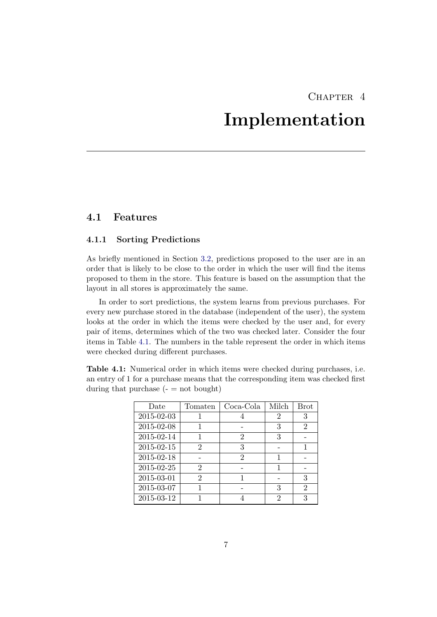## CHAPTER<sub>4</sub>

## Implementation

## <span id="page-9-1"></span><span id="page-9-0"></span>4.1 Features

### <span id="page-9-2"></span>4.1.1 Sorting Predictions

As briefly mentioned in Section [3.2,](#page-6-0) predictions proposed to the user are in an order that is likely to be close to the order in which the user will find the items proposed to them in the store. This feature is based on the assumption that the layout in all stores is approximately the same.

In order to sort predictions, the system learns from previous purchases. For every new purchase stored in the database (independent of the user), the system looks at the order in which the items were checked by the user and, for every pair of items, determines which of the two was checked later. Consider the four items in Table [4.1.](#page-9-3) The numbers in the table represent the order in which items were checked during different purchases.

<span id="page-9-3"></span>Table 4.1: Numerical order in which items were checked during purchases, i.e. an entry of 1 for a purchase means that the corresponding item was checked first during that purchase  $($ -  $=$  not bought)

| Date       | Tomaten | Coca-Cola | Milch | <b>Brot</b>    |
|------------|---------|-----------|-------|----------------|
| 2015-02-03 |         |           | 2     | 3              |
| 2015-02-08 |         |           | 3     | $\overline{2}$ |
| 2015-02-14 |         | 2         | 3     |                |
| 2015-02-15 | 2       | 3         |       |                |
| 2015-02-18 |         | 2         |       |                |
| 2015-02-25 | 2       |           |       |                |
| 2015-03-01 | 2       |           |       | 3              |
| 2015-03-07 |         |           | 3     | $\overline{2}$ |
| 2015-03-12 |         |           | 2     | 3              |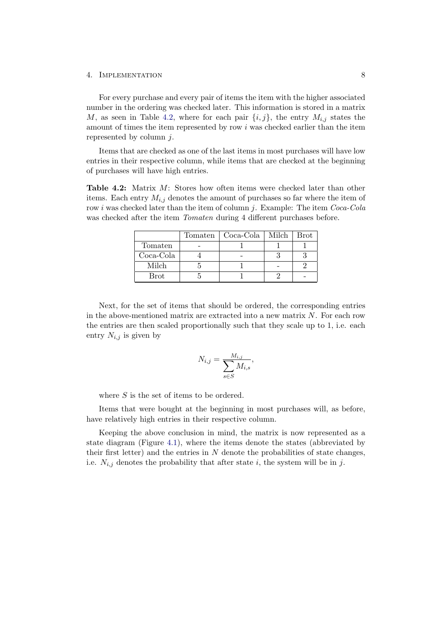#### 4. Implementation 8

For every purchase and every pair of items the item with the higher associated number in the ordering was checked later. This information is stored in a matrix M, as seen in Table [4.2,](#page-10-0) where for each pair  $\{i, j\}$ , the entry  $M_{i,j}$  states the amount of times the item represented by row i was checked earlier than the item represented by column  $i$ .

Items that are checked as one of the last items in most purchases will have low entries in their respective column, while items that are checked at the beginning of purchases will have high entries.

<span id="page-10-0"></span>Table 4.2: Matrix M: Stores how often items were checked later than other items. Each entry  $M_{i,j}$  denotes the amount of purchases so far where the item of row *i* was checked later than the item of column *j*. Example: The item *Coca-Cola* was checked after the item *Tomaten* during 4 different purchases before.

|           | Tomaten   Coca-Cola   Milch | <b>Brot</b> |
|-----------|-----------------------------|-------------|
| Tomaten   |                             |             |
| Coca-Cola |                             |             |
| Milch     |                             |             |
| Brot      |                             |             |

Next, for the set of items that should be ordered, the corresponding entries in the above-mentioned matrix are extracted into a new matrix  $N$ . For each row the entries are then scaled proportionally such that they scale up to 1, i.e. each entry  $N_{i,j}$  is given by

$$
N_{i,j} = \frac{M_{i,j}}{\sum_{s \in S} M_{i,s}},
$$

where  $S$  is the set of items to be ordered.

Items that were bought at the beginning in most purchases will, as before, have relatively high entries in their respective column.

Keeping the above conclusion in mind, the matrix is now represented as a state diagram (Figure [4.1\)](#page-11-0), where the items denote the states (abbreviated by their first letter) and the entries in  $N$  denote the probabilities of state changes, i.e.  $N_{i,j}$  denotes the probability that after state i, the system will be in j.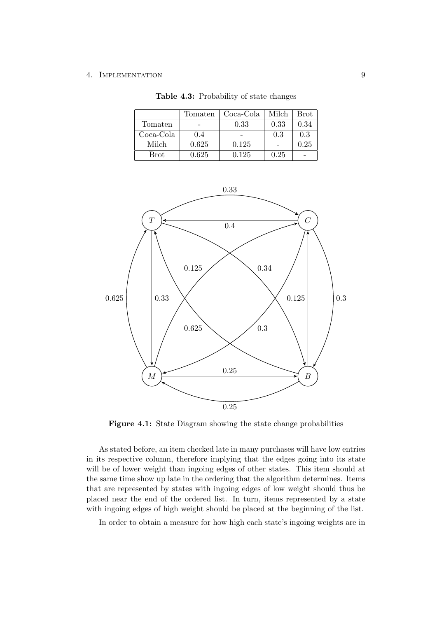#### 4. IMPLEMENTATION 9

|                       | Tomaten | Coca-Cola | Milch | Brot |
|-----------------------|---------|-----------|-------|------|
| Tomaten               |         | 0.33      | 0.33  | 0.34 |
| Coca-Cola             | 0.4     |           | 0.3   | 0.3  |
| Milch                 | 0.625   | 0.125     |       | 0.25 |
| $\operatorname{Brot}$ | 0.625   | 0.125     | 0.25  |      |

Table 4.3: Probability of state changes

<span id="page-11-0"></span>

Figure 4.1: State Diagram showing the state change probabilities

As stated before, an item checked late in many purchases will have low entries in its respective column, therefore implying that the edges going into its state will be of lower weight than ingoing edges of other states. This item should at the same time show up late in the ordering that the algorithm determines. Items that are represented by states with ingoing edges of low weight should thus be placed near the end of the ordered list. In turn, items represented by a state with ingoing edges of high weight should be placed at the beginning of the list.

In order to obtain a measure for how high each state's ingoing weights are in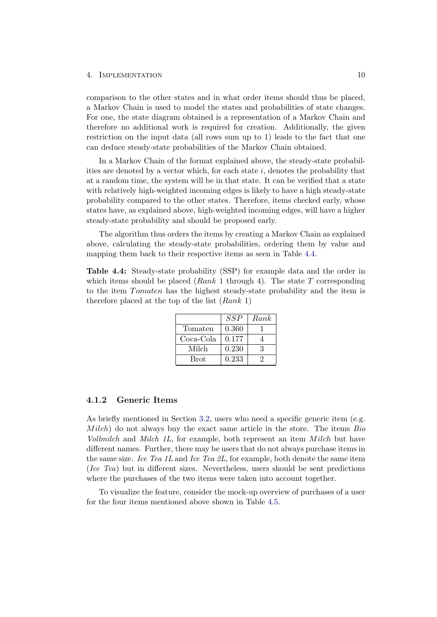#### 4. IMPLEMENTATION 10

comparison to the other states and in what order items should thus be placed, a Markov Chain is used to model the states and probabilities of state changes. For one, the state diagram obtained is a representation of a Markov Chain and therefore no additional work is required for creation. Additionally, the given restriction on the input data (all rows sum up to 1) leads to the fact that one can deduce steady-state probabilities of the Markov Chain obtained.

In a Markov Chain of the format explained above, the steady-state probabilities are denoted by a vector which, for each state  $i$ , denotes the probability that at a random time, the system will be in that state. It can be verified that a state with relatively high-weighted incoming edges is likely to have a high steady-state probability compared to the other states. Therefore, items checked early, whose states have, as explained above, high-weighted incoming edges, will have a higher steady-state probability and should be proposed early.

The algorithm thus orders the items by creating a Markov Chain as explained above, calculating the steady-state probabilities, ordering them by value and mapping them back to their respective items as seen in Table [4.4.](#page-12-1)

<span id="page-12-1"></span>Table 4.4: Steady-state probability (SSP) for example data and the order in which items should be placed ( $Rank\ 1$  through 4). The state  $T$  corresponding to the item Tomaten has the highest steady-state probability and the item is therefore placed at the top of the list  $(Rank 1)$ 

|           | SSP   | Rank |
|-----------|-------|------|
| Tomaten   | 0.360 |      |
| Coca-Cola | 0.177 |      |
| Milch     | 0.230 | З    |
| Brot      | 0.233 |      |

### <span id="page-12-0"></span>4.1.2 Generic Items

As briefly mentioned in Section [3.2,](#page-6-0) users who need a specific generic item (e.g.  $Milch$ ) do not always buy the exact same article in the store. The items  $Bio$ Vollmilch and Milch  $1L$ , for example, both represent an item Milch but have different names. Further, there may be users that do not always purchase items in the same size. Ice Tea 1L and Ice Tea 2L, for example, both denote the same item (Ice Tea) but in different sizes. Nevertheless, users should be sent predictions where the purchases of the two items were taken into account together.

To visualize the feature, consider the mock-up overview of purchases of a user for the four items mentioned above shown in Table [4.5.](#page-13-0)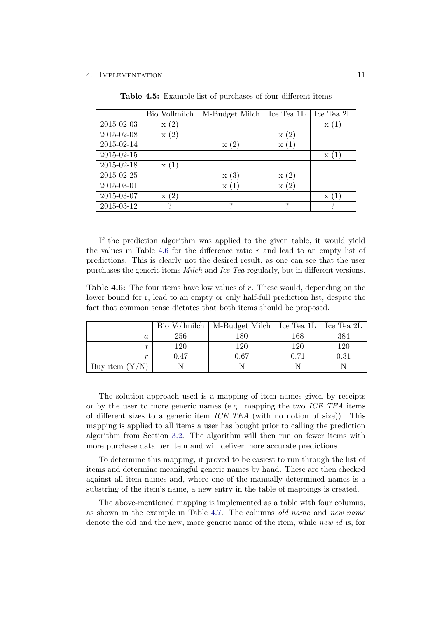#### <span id="page-13-0"></span>4. Implementation 11

|            | Bio Vollmilch   | M-Budget Milch      | Ice Tea 1L | Ice Tea 2L |
|------------|-----------------|---------------------|------------|------------|
| 2015-02-03 | $\mathbf{x}(2)$ |                     |            | X          |
| 2015-02-08 | x(2)            |                     | (2)<br>X   |            |
| 2015-02-14 |                 | (2)<br>$\mathbf{x}$ | X          |            |
| 2015-02-15 |                 |                     |            | X          |
| 2015-02-18 | x(1)            |                     |            |            |
| 2015-02-25 |                 | (3)<br>X            | (2)<br>X   |            |
| 2015-03-01 |                 | X                   | (2)<br>X   |            |
| 2015-03-07 | (2)<br>X        |                     |            | Х          |
| 2015-03-12 |                 | ച                   | ച          | ച          |

Table 4.5: Example list of purchases of four different items

If the prediction algorithm was applied to the given table, it would yield the values in Table [4.6](#page-13-1) for the difference ratio  $r$  and lead to an empty list of predictions. This is clearly not the desired result, as one can see that the user purchases the generic items Milch and Ice Tea regularly, but in different versions.

<span id="page-13-1"></span>**Table 4.6:** The four items have low values of r. These would, depending on the lower bound for r, lead to an empty or only half-full prediction list, despite the fact that common sense dictates that both items should be proposed.

|                  |      | Bio Vollmilch   M-Budget Milch   Ice Tea 1L   Ice Tea 2L |      |            |
|------------------|------|----------------------------------------------------------|------|------------|
| а                | 256  | 180                                                      | 168  | 384        |
|                  | 120  | 120                                                      | 120  | 120        |
| m                | 0.47 | 0.67                                                     | 0.71 | $\rm 0.31$ |
| Buy item $(Y/N)$ |      |                                                          |      |            |

The solution approach used is a mapping of item names given by receipts or by the user to more generic names (e.g. mapping the two  $ICE$   $TEA$  items of different sizes to a generic item  $ICE$  TEA (with no notion of size)). This mapping is applied to all items a user has bought prior to calling the prediction algorithm from Section [3.2.](#page-6-0) The algorithm will then run on fewer items with more purchase data per item and will deliver more accurate predictions.

To determine this mapping, it proved to be easiest to run through the list of items and determine meaningful generic names by hand. These are then checked against all item names and, where one of the manually determined names is a substring of the item's name, a new entry in the table of mappings is created.

The above-mentioned mapping is implemented as a table with four columns, as shown in the example in Table [4.7.](#page-14-2) The columns  $old_name$  and  $new_name$ denote the old and the new, more generic name of the item, while *new id* is, for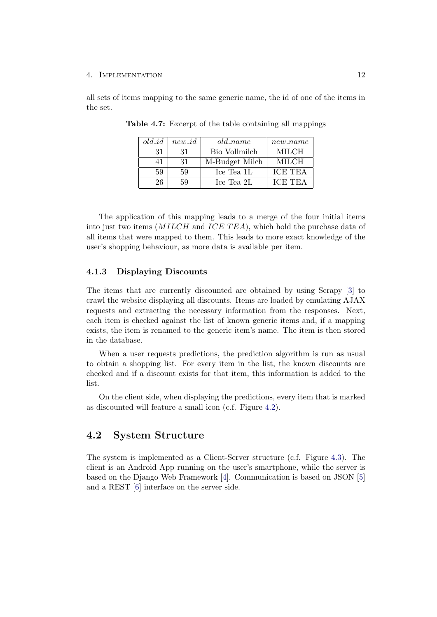#### 4. Implementation 12

<span id="page-14-2"></span>all sets of items mapping to the same generic name, the id of one of the items in the set.

| $old\_id$ | $new_id$ | $old_name$     | $new_name$     |
|-----------|----------|----------------|----------------|
| 31        | 31       | Bio Vollmilch  | <b>MILCH</b>   |
| 41        | -31      | M-Budget Milch | MILCH          |
| 59        | 59       | Ice Tea 1L     | <b>ICE TEA</b> |
| 26        | 59       | Ice Tea 2L     | <b>ICE TEA</b> |

Table 4.7: Excerpt of the table containing all mappings

The application of this mapping leads to a merge of the four initial items into just two items  $(MILCH)$  and  $ICE TEA$ , which hold the purchase data of all items that were mapped to them. This leads to more exact knowledge of the user's shopping behaviour, as more data is available per item.

### <span id="page-14-0"></span>4.1.3 Displaying Discounts

The items that are currently discounted are obtained by using Scrapy [\[3\]](#page-28-3) to crawl the website displaying all discounts. Items are loaded by emulating AJAX requests and extracting the necessary information from the responses. Next, each item is checked against the list of known generic items and, if a mapping exists, the item is renamed to the generic item's name. The item is then stored in the database.

When a user requests predictions, the prediction algorithm is run as usual to obtain a shopping list. For every item in the list, the known discounts are checked and if a discount exists for that item, this information is added to the list.

On the client side, when displaying the predictions, every item that is marked as discounted will feature a small icon (c.f. Figure [4.2\)](#page-15-1).

### <span id="page-14-1"></span>4.2 System Structure

The system is implemented as a Client-Server structure (c.f. Figure [4.3\)](#page-15-2). The client is an Android App running on the user's smartphone, while the server is based on the Django Web Framework [\[4\]](#page-28-4). Communication is based on JSON [\[5\]](#page-28-5) and a REST [\[6\]](#page-28-6) interface on the server side.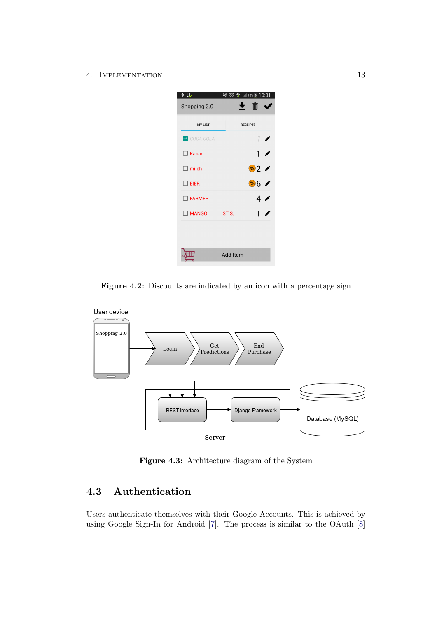4. IMPLEMENTATION 13

<span id="page-15-1"></span>

Figure 4.2: Discounts are indicated by an icon with a percentage sign

<span id="page-15-2"></span>

Figure 4.3: Architecture diagram of the System

## <span id="page-15-0"></span>4.3 Authentication

Users authenticate themselves with their Google Accounts. This is achieved by using Google Sign-In for Android [\[7\]](#page-28-7). The process is similar to the OAuth [\[8\]](#page-28-8)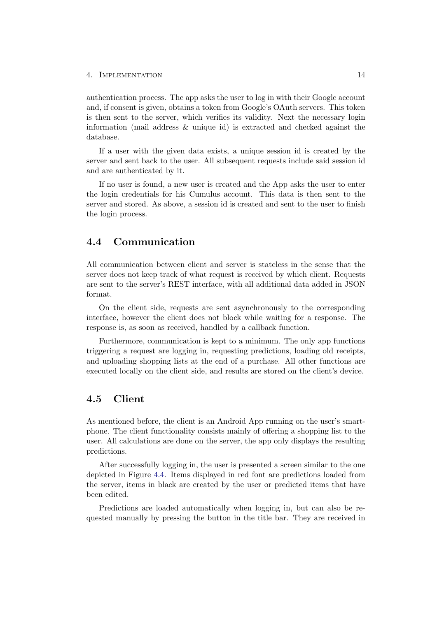#### 4. Implementation 14

authentication process. The app asks the user to log in with their Google account and, if consent is given, obtains a token from Google's OAuth servers. This token is then sent to the server, which verifies its validity. Next the necessary login information (mail address  $\&$  unique id) is extracted and checked against the database.

If a user with the given data exists, a unique session id is created by the server and sent back to the user. All subsequent requests include said session id and are authenticated by it.

If no user is found, a new user is created and the App asks the user to enter the login credentials for his Cumulus account. This data is then sent to the server and stored. As above, a session id is created and sent to the user to finish the login process.

## <span id="page-16-0"></span>4.4 Communication

All communication between client and server is stateless in the sense that the server does not keep track of what request is received by which client. Requests are sent to the server's REST interface, with all additional data added in JSON format.

On the client side, requests are sent asynchronously to the corresponding interface, however the client does not block while waiting for a response. The response is, as soon as received, handled by a callback function.

Furthermore, communication is kept to a minimum. The only app functions triggering a request are logging in, requesting predictions, loading old receipts, and uploading shopping lists at the end of a purchase. All other functions are executed locally on the client side, and results are stored on the client's device.

## <span id="page-16-1"></span>4.5 Client

As mentioned before, the client is an Android App running on the user's smartphone. The client functionality consists mainly of offering a shopping list to the user. All calculations are done on the server, the app only displays the resulting predictions.

After successfully logging in, the user is presented a screen similar to the one depicted in Figure [4.4.](#page-17-0) Items displayed in red font are predictions loaded from the server, items in black are created by the user or predicted items that have been edited.

Predictions are loaded automatically when logging in, but can also be requested manually by pressing the button in the title bar. They are received in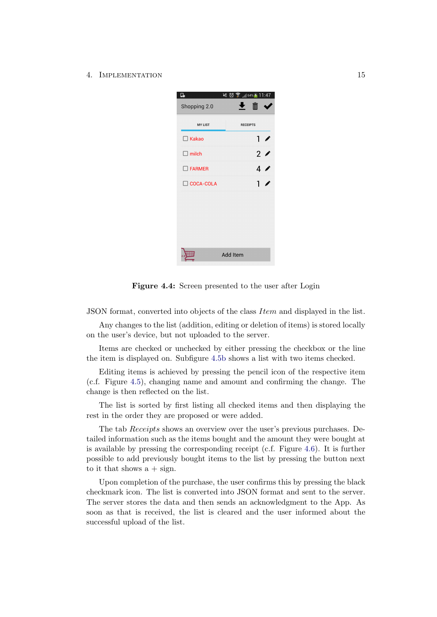<span id="page-17-0"></span>4. IMPLEMENTATION 15



Figure 4.4: Screen presented to the user after Login

JSON format, converted into objects of the class Item and displayed in the list.

Any changes to the list (addition, editing or deletion of items) is stored locally on the user's device, but not uploaded to the server.

Items are checked or unchecked by either pressing the checkbox or the line the item is displayed on. Subfigure [4.5b](#page-18-2) shows a list with two items checked.

Editing items is achieved by pressing the pencil icon of the respective item (c.f. Figure [4.5\)](#page-18-2), changing name and amount and confirming the change. The change is then reflected on the list.

The list is sorted by first listing all checked items and then displaying the rest in the order they are proposed or were added.

The tab Receipts shows an overview over the user's previous purchases. Detailed information such as the items bought and the amount they were bought at is available by pressing the corresponding receipt (c.f. Figure [4.6\)](#page-19-0). It is further possible to add previously bought items to the list by pressing the button next to it that shows  $a + sign$ .

Upon completion of the purchase, the user confirms this by pressing the black checkmark icon. The list is converted into JSON format and sent to the server. The server stores the data and then sends an acknowledgment to the App. As soon as that is received, the list is cleared and the user informed about the successful upload of the list.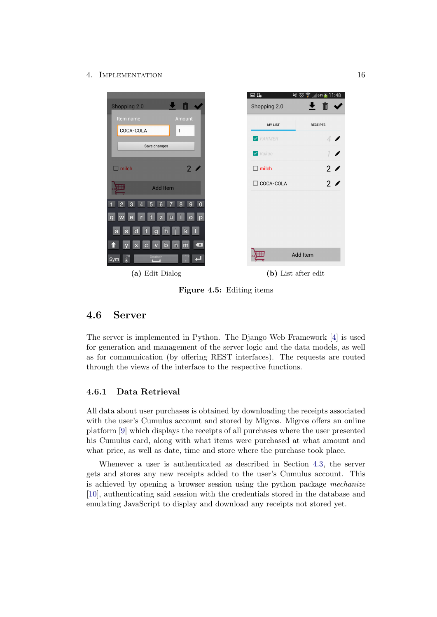#### 4. Implementation 16

<span id="page-18-2"></span>

Figure 4.5: Editing items

## <span id="page-18-0"></span>4.6 Server

The server is implemented in Python. The Django Web Framework [\[4\]](#page-28-4) is used for generation and management of the server logic and the data models, as well as for communication (by offering REST interfaces). The requests are routed through the views of the interface to the respective functions.

### <span id="page-18-1"></span>4.6.1 Data Retrieval

All data about user purchases is obtained by downloading the receipts associated with the user's Cumulus account and stored by Migros. Migros offers an online platform [\[9\]](#page-28-9) which displays the receipts of all purchases where the user presented his Cumulus card, along with what items were purchased at what amount and what price, as well as date, time and store where the purchase took place.

Whenever a user is authenticated as described in Section [4.3,](#page-15-0) the server gets and stores any new receipts added to the user's Cumulus account. This is achieved by opening a browser session using the python package mechanize [\[10\]](#page-28-10), authenticating said session with the credentials stored in the database and emulating JavaScript to display and download any receipts not stored yet.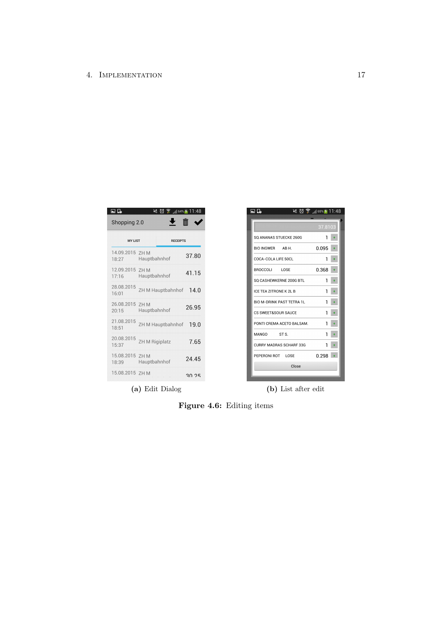<span id="page-19-0"></span>

| e r                      |                       | $\leqslant$ 0 $\frac{1}{3}$ , 64% f 11:48 |       |
|--------------------------|-----------------------|-------------------------------------------|-------|
| Shopping 2.0             |                       |                                           |       |
| <b>MY LIST</b>           |                       | <b>RECEIPTS</b>                           |       |
| 14.09.2015<br>18:27      | 7HM<br>Hauptbahnhof   |                                           | 37.80 |
| 12.09.2015 7H M<br>17:16 | Hauptbahnhof          |                                           | 41.15 |
| 28.08.2015<br>16:01      |                       | ZH M Hauptbahnhof                         | 14.0  |
| 26.08.2015<br>20:15      | 7HM<br>Hauptbahnhof   |                                           | 26.95 |
| 21.08.2015<br>18:51      |                       | ZH M Hauptbahnhof                         | 19.0  |
| 20.08.2015<br>15:37      | <b>ZH M Rigiplatz</b> |                                           | 7.65  |
| 15.08.2015 ZH M<br>18:39 | Hauptbahnhof          |                                           | 24.45 |
| 15.08.2015 7H M          |                       |                                           | 30 75 |

| ⊡ ⊡                    |                                  | $\leqslant$ $\otimes$ $\hat{?}$ / 65% $\frac{1}{2}$ 11:48 |
|------------------------|----------------------------------|-----------------------------------------------------------|
|                        |                                  |                                                           |
|                        |                                  | 37.8103                                                   |
| SQ ANANAS STUECKE 260G |                                  | 1                                                         |
| BIO INGWER AB H.       |                                  | 0.095                                                     |
| COCA-COLA LIFE 50CL    |                                  | 1                                                         |
| BROCCOLI LOSE          |                                  | 0.368                                                     |
|                        | SQ CASHEWKERNE 200G BTL          | 1                                                         |
| ICE TEA ZITRONE K 2L B |                                  | 1                                                         |
|                        | <b>BIO M-DRINK PAST TETRA 1L</b> | 1                                                         |
| CS SWEET&SOUR SAUCE    |                                  | 1                                                         |
|                        | PONTI CREMA ACETO BALSAM.        | 1                                                         |
| MANGO                  | ST S.                            | 1                                                         |
|                        | CURRY MADRAS SCHARF 33G          | 1                                                         |
| PEPERONI ROT LOSE      |                                  | 0.298                                                     |
|                        | Close                            |                                                           |
|                        |                                  |                                                           |

(a) Edit Dialog (b) List after edit

Figure 4.6: Editing items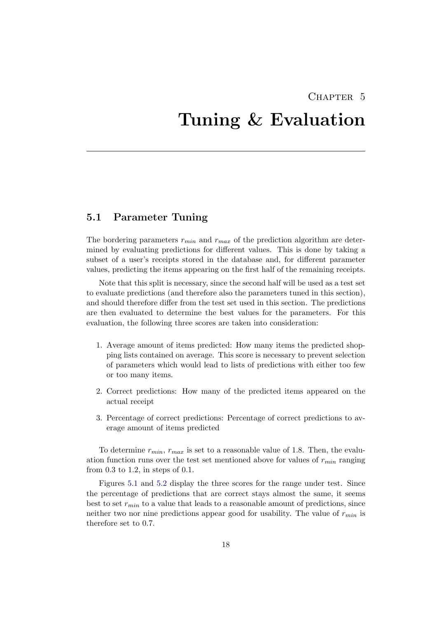## CHAPTER<sub>5</sub>

# <span id="page-20-0"></span>Tuning & Evaluation

## <span id="page-20-1"></span>5.1 Parameter Tuning

The bordering parameters  $r_{min}$  and  $r_{max}$  of the prediction algorithm are determined by evaluating predictions for different values. This is done by taking a subset of a user's receipts stored in the database and, for different parameter values, predicting the items appearing on the first half of the remaining receipts.

Note that this split is necessary, since the second half will be used as a test set to evaluate predictions (and therefore also the parameters tuned in this section), and should therefore differ from the test set used in this section. The predictions are then evaluated to determine the best values for the parameters. For this evaluation, the following three scores are taken into consideration:

- 1. Average amount of items predicted: How many items the predicted shopping lists contained on average. This score is necessary to prevent selection of parameters which would lead to lists of predictions with either too few or too many items.
- 2. Correct predictions: How many of the predicted items appeared on the actual receipt
- 3. Percentage of correct predictions: Percentage of correct predictions to average amount of items predicted

To determine  $r_{min}$ ,  $r_{max}$  is set to a reasonable value of 1.8. Then, the evaluation function runs over the test set mentioned above for values of  $r_{min}$  ranging from 0.3 to 1.2, in steps of 0.1.

Figures [5.1](#page-21-0) and [5.2](#page-21-1) display the three scores for the range under test. Since the percentage of predictions that are correct stays almost the same, it seems best to set  $r_{min}$  to a value that leads to a reasonable amount of predictions, since neither two nor nine predictions appear good for usability. The value of  $r_{min}$  is therefore set to 0.7.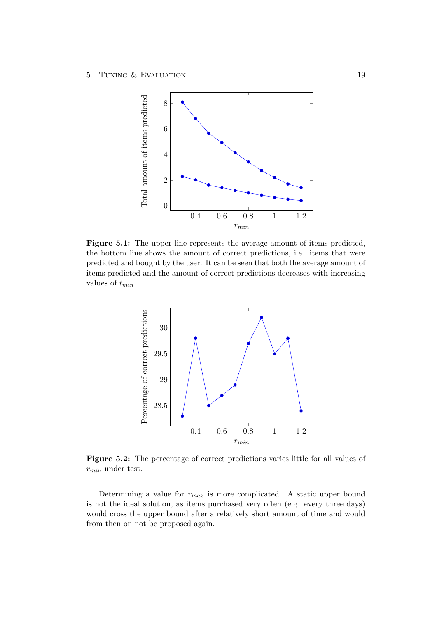<span id="page-21-0"></span>

Figure 5.1: The upper line represents the average amount of items predicted, the bottom line shows the amount of correct predictions, i.e. items that were predicted and bought by the user. It can be seen that both the average amount of items predicted and the amount of correct predictions decreases with increasing values of  $t_{min}$ .

<span id="page-21-1"></span>

Figure 5.2: The percentage of correct predictions varies little for all values of  $r_{min}$  under test.

Determining a value for  $r_{max}$  is more complicated. A static upper bound is not the ideal solution, as items purchased very often (e.g. every three days) would cross the upper bound after a relatively short amount of time and would from then on not be proposed again.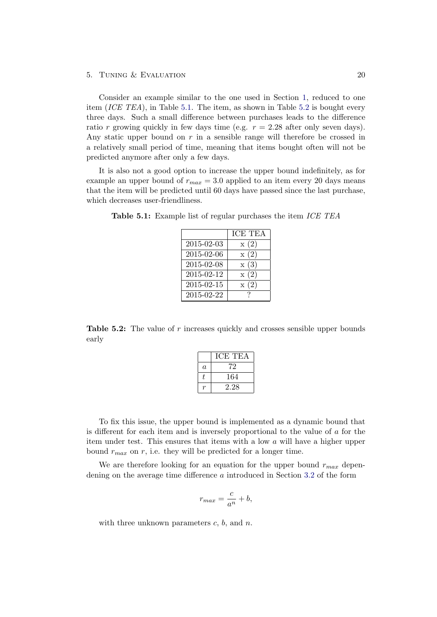Consider an example similar to the one used in Section [1,](#page-8-0) reduced to one item (ICE TEA), in Table [5.1.](#page-22-0) The item, as shown in Table [5.2](#page-22-1) is bought every three days. Such a small difference between purchases leads to the difference ratio r growing quickly in few days time (e.g.  $r = 2.28$  after only seven days). Any static upper bound on  $r$  in a sensible range will therefore be crossed in a relatively small period of time, meaning that items bought often will not be predicted anymore after only a few days.

It is also not a good option to increase the upper bound indefinitely, as for example an upper bound of  $r_{max} = 3.0$  applied to an item every 20 days means that the item will be predicted until 60 days have passed since the last purchase, which decreases user-friendliness.

|            | <b>ICE TEA</b> |
|------------|----------------|
|            |                |
| 2015-02-03 | x(2)           |
| 2015-02-06 | x(2)           |
| 2015-02-08 | x(3)           |
| 2015-02-12 | x(2)           |
| 2015-02-15 | x(2)           |
| 2015-02-22 |                |

<span id="page-22-0"></span>Table 5.1: Example list of regular purchases the item ICE TEA

<span id="page-22-1"></span>**Table 5.2:** The value of  $r$  increases quickly and crosses sensible upper bounds early

|         | ICE TEA |
|---------|---------|
| $\it a$ | 72      |
| Ť.      | 164     |
|         | 2.28    |

To fix this issue, the upper bound is implemented as a dynamic bound that is different for each item and is inversely proportional to the value of  $\alpha$  for the item under test. This ensures that items with a low a will have a higher upper bound  $r_{max}$  on r, i.e. they will be predicted for a longer time.

We are therefore looking for an equation for the upper bound  $r_{max}$  dependening on the average time difference a introduced in Section [3.2](#page-6-0) of the form

$$
r_{max} = \frac{c}{a^n} + b,
$$

with three unknown parameters  $c, b$ , and  $n$ .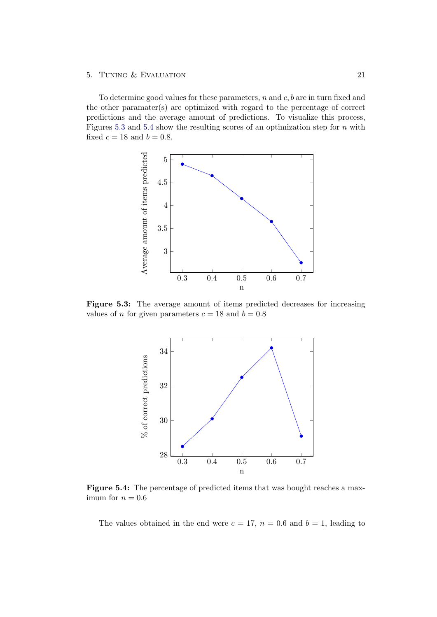To determine good values for these parameters,  $n$  and  $c$ ,  $b$  are in turn fixed and the other paramater(s) are optimized with regard to the percentage of correct predictions and the average amount of predictions. To visualize this process, Figures [5.3](#page-23-0) and [5.4](#page-23-1) show the resulting scores of an optimization step for  $n$  with fixed  $c = 18$  and  $b = 0.8$ .

<span id="page-23-0"></span>

<span id="page-23-1"></span>Figure 5.3: The average amount of items predicted decreases for increasing values of *n* for given parameters  $c = 18$  and  $b = 0.8$ 



Figure 5.4: The percentage of predicted items that was bought reaches a maximum for  $n = 0.6$ 

The values obtained in the end were  $c = 17$ ,  $n = 0.6$  and  $b = 1$ , leading to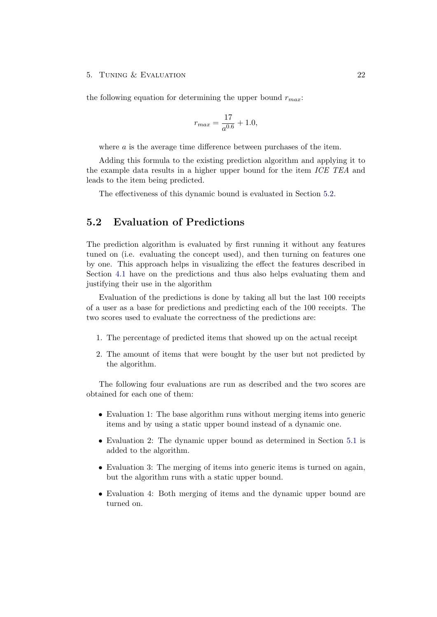the following equation for determining the upper bound  $r_{max}$ :

$$
r_{max} = \frac{17}{a^{0.6}} + 1.0,
$$

where a is the average time difference between purchases of the item.

Adding this formula to the existing prediction algorithm and applying it to the example data results in a higher upper bound for the item ICE TEA and leads to the item being predicted.

The effectiveness of this dynamic bound is evaluated in Section [5.2.](#page-24-0)

## <span id="page-24-0"></span>5.2 Evaluation of Predictions

The prediction algorithm is evaluated by first running it without any features tuned on (i.e. evaluating the concept used), and then turning on features one by one. This approach helps in visualizing the effect the features described in Section [4.1](#page-9-1) have on the predictions and thus also helps evaluating them and justifying their use in the algorithm

Evaluation of the predictions is done by taking all but the last 100 receipts of a user as a base for predictions and predicting each of the 100 receipts. The two scores used to evaluate the correctness of the predictions are:

- 1. The percentage of predicted items that showed up on the actual receipt
- 2. The amount of items that were bought by the user but not predicted by the algorithm.

The following four evaluations are run as described and the two scores are obtained for each one of them:

- Evaluation 1: The base algorithm runs without merging items into generic items and by using a static upper bound instead of a dynamic one.
- Evaluation 2: The dynamic upper bound as determined in Section [5.1](#page-20-1) is added to the algorithm.
- Evaluation 3: The merging of items into generic items is turned on again, but the algorithm runs with a static upper bound.
- Evaluation 4: Both merging of items and the dynamic upper bound are turned on.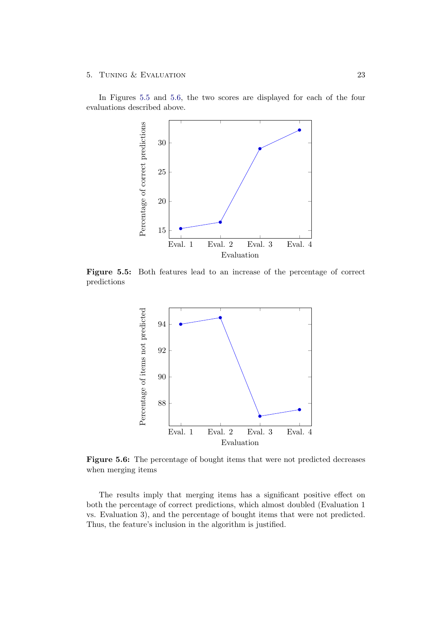<span id="page-25-0"></span>In Figures [5.5](#page-25-0) and [5.6,](#page-25-1) the two scores are displayed for each of the four evaluations described above.



<span id="page-25-1"></span>Figure 5.5: Both features lead to an increase of the percentage of correct predictions



Figure 5.6: The percentage of bought items that were not predicted decreases when merging items

The results imply that merging items has a significant positive effect on both the percentage of correct predictions, which almost doubled (Evaluation 1 vs. Evaluation 3), and the percentage of bought items that were not predicted. Thus, the feature's inclusion in the algorithm is justified.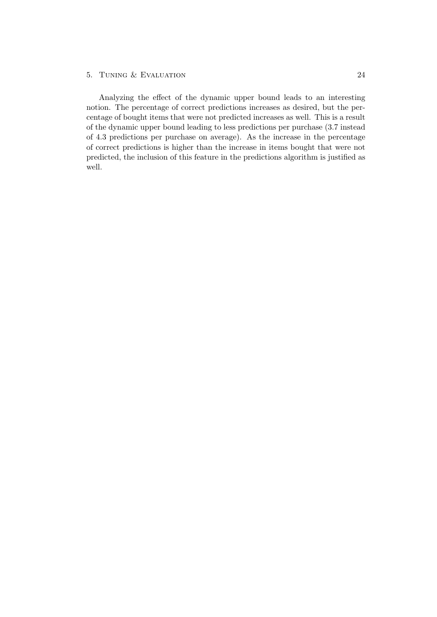Analyzing the effect of the dynamic upper bound leads to an interesting notion. The percentage of correct predictions increases as desired, but the percentage of bought items that were not predicted increases as well. This is a result of the dynamic upper bound leading to less predictions per purchase (3.7 instead of 4.3 predictions per purchase on average). As the increase in the percentage of correct predictions is higher than the increase in items bought that were not predicted, the inclusion of this feature in the predictions algorithm is justified as well.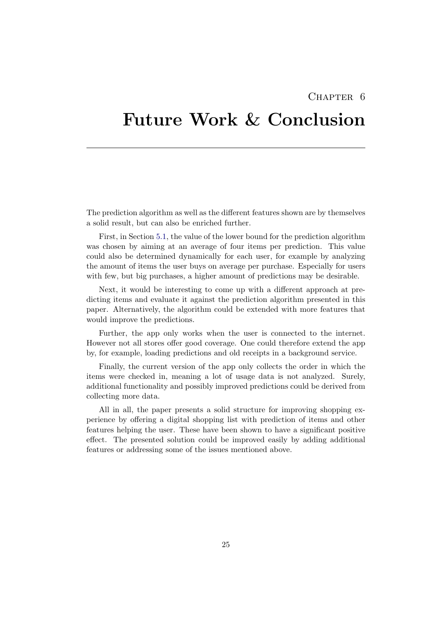## CHAPTER<sub>6</sub>

# <span id="page-27-0"></span>Future Work & Conclusion

The prediction algorithm as well as the different features shown are by themselves a solid result, but can also be enriched further.

First, in Section [5.1,](#page-20-1) the value of the lower bound for the prediction algorithm was chosen by aiming at an average of four items per prediction. This value could also be determined dynamically for each user, for example by analyzing the amount of items the user buys on average per purchase. Especially for users with few, but big purchases, a higher amount of predictions may be desirable.

Next, it would be interesting to come up with a different approach at predicting items and evaluate it against the prediction algorithm presented in this paper. Alternatively, the algorithm could be extended with more features that would improve the predictions.

Further, the app only works when the user is connected to the internet. However not all stores offer good coverage. One could therefore extend the app by, for example, loading predictions and old receipts in a background service.

Finally, the current version of the app only collects the order in which the items were checked in, meaning a lot of usage data is not analyzed. Surely, additional functionality and possibly improved predictions could be derived from collecting more data.

All in all, the paper presents a solid structure for improving shopping experience by offering a digital shopping list with prediction of items and other features helping the user. These have been shown to have a significant positive effect. The presented solution could be improved easily by adding additional features or addressing some of the issues mentioned above.